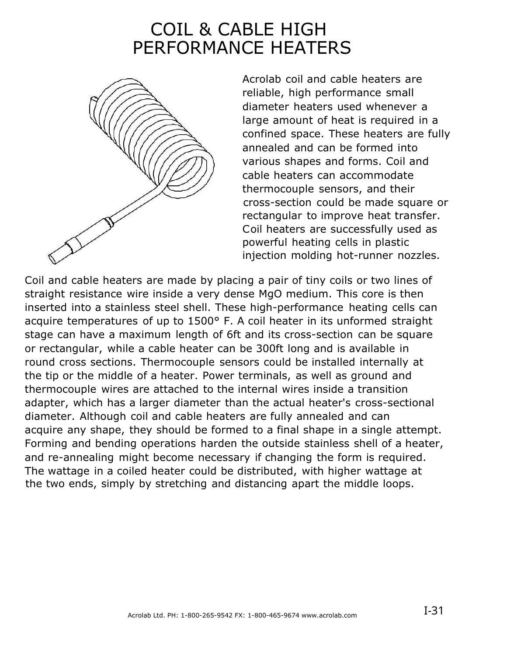## COIL & CABLE HIGH PERFORMANCE HEATERS



Acrolab coil and cable heaters are reliable, high performance small diameter heaters used whenever a large amount of heat is required in a confined space. These heaters are fully annealed and can be formed into various shapes and forms. Coil and cable heaters can accommodate thermocouple sensors, and their cross-section could be made square or rectangular to improve heat transfer. Coil heaters are successfully used as powerful heating cells in plastic injection molding hot-runner nozzles.

Coil and cable heaters are made by placing a pair of tiny coils or two lines of straight resistance wire inside a very dense MgO medium. This core is then inserted into a stainless steel shell. These high-performance heating cells can acquire temperatures of up to 1500° F. A coil heater in its unformed straight stage can have a maximum length of 6ft and its cross-section can be square or rectangular, while a cable heater can be 300ft long and is available in round cross sections. Thermocouple sensors could be installed internally at the tip or the middle of a heater. Power terminals, as well as ground and thermocouple wires are attached to the internal wires inside a transition adapter, which has a larger diameter than the actual heater's cross-sectional diameter. Although coil and cable heaters are fully annealed and can acquire any shape, they should be formed to a final shape in a single attempt. Forming and bending operations harden the outside stainless shell of a heater, and re-annealing might become necessary if changing the form is required. The wattage in a coiled heater could be distributed, with higher wattage at the two ends, simply by stretching and distancing apart the middle loops.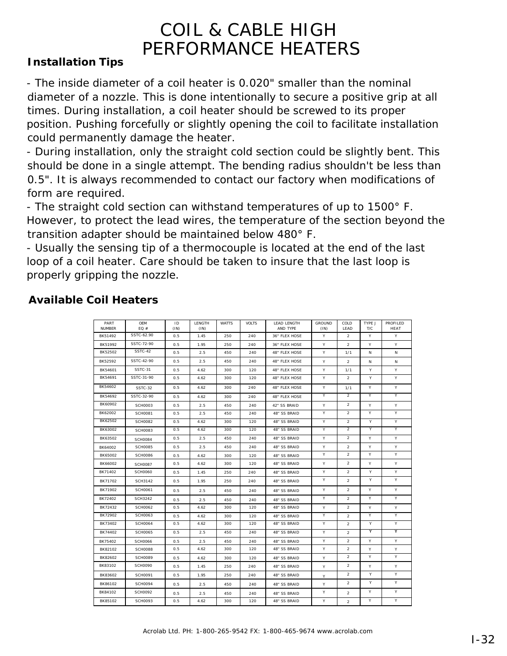## COIL & CABLE HIGH PERFORMANCE HEATERS

## **Installation Tips**

- The inside diameter of a coil heater is 0.020" smaller than the nominal diameter of a nozzle. This is done intentionally to secure a positive grip at all times. During installation, a coil heater should be screwed to its proper position. Pushing forcefully or slightly opening the coil to facilitate installation could permanently damage the heater.

- During installation, only the straight cold section could be slightly bent. This should be done in a single attempt. The bending radius shouldn't be less than 0.5". It is always recommended to contact our factory when modifications of form are required.

- The straight cold section can withstand temperatures of up to 1500° F. However, to protect the lead wires, the temperature of the section beyond the transition adapter should be maintained below 480° F.

- Usually the sensing tip of a thermocouple is located at the end of the last loop of a coil heater. Care should be taken to insure that the last loop is properly gripping the nozzle.

| PART<br><b>NUMBER</b> | <b>OEM</b><br>EO# | ID<br>(IN) | LENGTH<br>(IN) | <b>WATTS</b> | <b>VOLTS</b> | LEAD LENGTH<br>AND TYPE | <b>GROUND</b><br>(IN) | COLD<br>LEAD   | TYPE J<br>T/C | <b>PROFILED</b><br><b>HEAT</b> |
|-----------------------|-------------------|------------|----------------|--------------|--------------|-------------------------|-----------------------|----------------|---------------|--------------------------------|
| BK51492               | SSTC-62.90        | 0.5        | 1.45           | 250          | 240          | 36" FLEX HOSE           | Y                     | $\overline{2}$ | Y             | Y                              |
| BK51992               | SSTC-72-90        | 0.5        | 1.95           | 250          | 240          | 36" FLEX HOSE           | Y                     | $\overline{2}$ | Y             | Y                              |
| BK52502               | SSTC-42           | 0.5        | 2.5            | 450          | 240          | 48" FLEX HOSE           | Υ                     | 1/1            | N             | Ν                              |
| BK52592               | SSTC-42-90        | 0.5        | 2.5            | 450          | 240          | 48" FLEX HOSE           | Υ                     | 2              | N             | Ν                              |
| BK54601               | SSTC-31           | 0.5        | 4.62           | 300          | 120          | 48" FLEX HOSE           | Υ                     | 1/1            | Y             | Y                              |
| BK54691               | SSTC-31-90        | 0.5        | 4.62           | 300          | 120          | 48" FLEX HOSE           | Υ                     | 2              | Υ             | Υ                              |
| BK54602               | SSTC-32           | 0.5        | 4.62           | 300          | 240          | 48" FLEX HOSE           | Υ                     | 1/1            | Y             | Y                              |
| BK54692               | SSTC-32-90        | 0.5        | 4.62           | 300          | 240          | 48" FLEX HOSE           | Υ                     | $\overline{2}$ | Y             | Y                              |
| BK60902               | <b>SCH0003</b>    | 0.5        | 2.5            | 450          | 240          | 42" SS BRAID            | Υ                     | $\overline{2}$ | Y             | Υ                              |
| BK62002               | <b>SCH0081</b>    | 0.5        | 2.5            | 450          | 240          | 48" SS BRAID            | Υ                     | $\overline{a}$ | Y             | Y                              |
| BK62502               | <b>SCH0082</b>    | 0.5        | 4.62           | 300          | 120          | 48" SS BRAID            | Υ                     | $\overline{2}$ | Υ             | Υ                              |
| BK63002               | <b>SCH0083</b>    | 0.5        | 4.62           | 300          | 120          | 48" SS BRAID            | Y                     | $\overline{2}$ | Υ             | Υ                              |
| BK63502               | <b>SCH0084</b>    | 0.5        | 2.5            | 450          | 240          | 48" SS BRAID            | Υ                     | $\overline{2}$ | Y             | Υ                              |
| BK64002               | <b>SCH0085</b>    | 0.5        | 2.5            | 450          | 240          | 48" SS BRAID            | Υ                     | $\overline{a}$ | Υ             | Y                              |
| BK65002               | <b>SCH0086</b>    | 0.5        | 4.62           | 300          | 120          | 48" SS BRAID            | Y                     | $\overline{a}$ | Y             | Y                              |
| BK66002               | <b>SCH0087</b>    | 0.5        | 4.62           | 300          | 120          | 48" SS BRAID            | Υ                     | $\overline{2}$ | Y             | Υ                              |
| BK71402               | <b>SCH0060</b>    | 0.5        | 1.45           | 250          | 240          | 48" SS BRAID            | Y                     | $\overline{2}$ | Y             | Y                              |
| BK71702               | <b>SCH3142</b>    | 0.5        | 1.95           | 250          | 240          | 48" SS BRAID            | Υ                     | $\overline{2}$ | Y             | Y                              |
| BK71902               | <b>SCH0061</b>    | 0.5        | 2.5            | 450          | 240          | 48" SS BRAID            | Υ                     | $\overline{a}$ | Y             | Y                              |
| BK72402               | <b>SCH3242</b>    | 0.5        | 2.5            | 450          | 240          | 48" SS BRAID            | Y                     | 2              | Y             | Y                              |
| BK72432               | <b>SCH0062</b>    | 0.5        | 4.62           | 300          | 120          | 48" SS BRAID            | Υ                     | 2              | Y             | Υ                              |
| BK72902               | <b>SCH0063</b>    | 0.5        | 4.62           | 300          | 120          | 48" SS BRAID            | Υ                     | $\overline{a}$ | Y             | Y                              |
| BK73402               | <b>SCH0064</b>    | 0.5        | 4.62           | 300          | 120          | 48" SS BRAID            | Y                     | $\overline{a}$ | Y             | Y                              |
| BK74402               | <b>SCH0065</b>    | 0.5        | 2.5            | 450          | 240          | 48" SS BRAID            | Y                     | $\overline{2}$ | Y             | Y                              |
| BK75402               | <b>SCH0066</b>    | 0.5        | 2.5            | 450          | 240          | 48" SS BRAID            | Y                     | $\overline{2}$ | Y             | Y                              |
| BK82102               | <b>SCH0088</b>    | 0.5        | 4.62           | 300          | 120          | 48" SS BRAID            | Y                     | $\overline{2}$ | Y             | Υ                              |
| BK82602               | <b>SCH0089</b>    | 0.5        | 4.62           | 300          | 120          | 48" SS BRAID            | Υ                     | $\overline{a}$ | Y             | Y                              |
| BK83102               | <b>SCH0090</b>    | 0.5        | 1.45           | 250          | 240          | 48" SS BRAID            | Y                     | $\overline{a}$ | Y             | Y                              |
| BK83602               | <b>SCH0091</b>    | 0.5        | 1.95           | 250          | 240          | 48" SS BRAID            | Υ                     | $\overline{2}$ | Y             | Y                              |
| BK86102               | <b>SCH0094</b>    | 0.5        | 2.5            | 450          | 240          | 48" SS BRAID            | Υ                     | $\overline{a}$ | Υ             | Υ                              |
| BK84102               | <b>SCH0092</b>    | 0.5        | 2.5            | 450          | 240          | 48" SS BRAID            | Υ                     | $\overline{a}$ | Y             | Υ                              |
| BK85102               | <b>SCH0093</b>    | 0.5        | 4.62           | 300          | 120          | 48" SS BRAID            | Υ                     | $\overline{2}$ | Y             | Y                              |

## **Available Coil Heaters**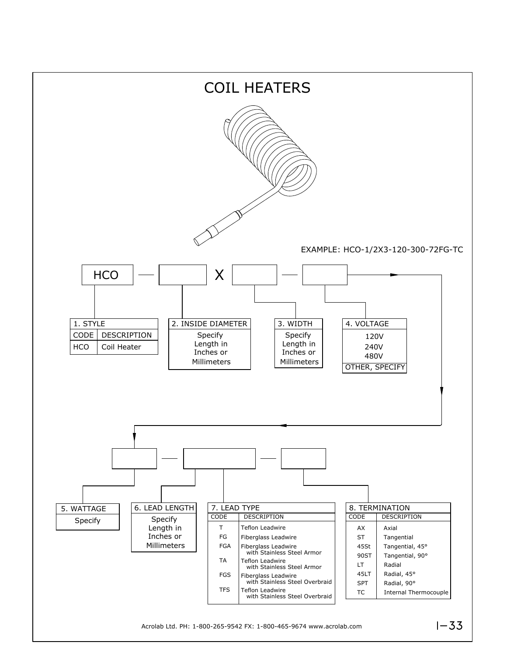

Acrolab Ltd. PH: 1-800-265-9542 FX: 1-800-465-9674 www.acrolab.com